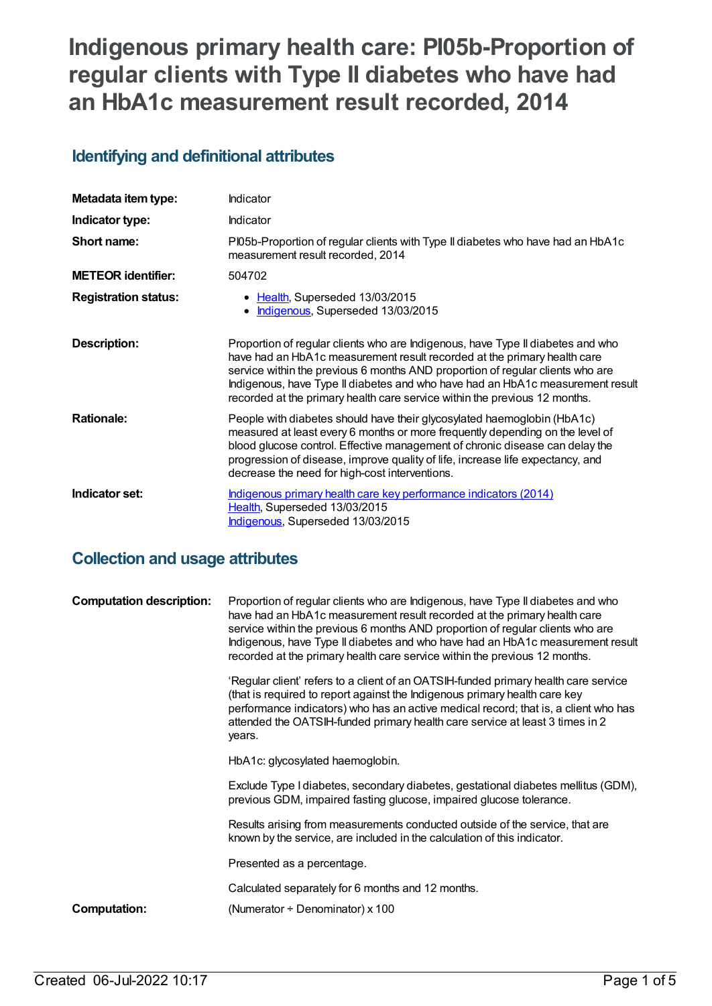# **Indigenous primary health care: PI05b-Proportion of regular clients with Type II diabetes who have had an HbA1c measurement result recorded, 2014**

# **Identifying and definitional attributes**

| Metadata item type:         | Indicator                                                                                                                                                                                                                                                                                                                                                                                                     |
|-----------------------------|---------------------------------------------------------------------------------------------------------------------------------------------------------------------------------------------------------------------------------------------------------------------------------------------------------------------------------------------------------------------------------------------------------------|
| Indicator type:             | <b>Indicator</b>                                                                                                                                                                                                                                                                                                                                                                                              |
| Short name:                 | PI05b-Proportion of regular clients with Type II diabetes who have had an HbA1c<br>measurement result recorded, 2014                                                                                                                                                                                                                                                                                          |
| <b>METEOR</b> identifier:   | 504702                                                                                                                                                                                                                                                                                                                                                                                                        |
| <b>Registration status:</b> | • Health, Superseded 13/03/2015<br>Indigenous, Superseded 13/03/2015                                                                                                                                                                                                                                                                                                                                          |
| <b>Description:</b>         | Proportion of regular clients who are Indigenous, have Type II diabetes and who<br>have had an HbA1c measurement result recorded at the primary health care<br>service within the previous 6 months AND proportion of regular clients who are<br>Indigenous, have Type II diabetes and who have had an HbA1c measurement result<br>recorded at the primary health care service within the previous 12 months. |
| <b>Rationale:</b>           | People with diabetes should have their glycosylated haemoglobin (HbA1c)<br>measured at least every 6 months or more frequently depending on the level of<br>blood glucose control. Effective management of chronic disease can delay the<br>progression of disease, improve quality of life, increase life expectancy, and<br>decrease the need for high-cost interventions.                                  |
| Indicator set:              | Indigenous primary health care key performance indicators (2014)<br>Health, Superseded 13/03/2015<br>Indigenous, Superseded 13/03/2015                                                                                                                                                                                                                                                                        |

# **Collection and usage attributes**

| <b>Computation description:</b> | Proportion of regular clients who are Indigenous, have Type II diabetes and who<br>have had an HbA1c measurement result recorded at the primary health care<br>service within the previous 6 months AND proportion of regular clients who are<br>Indigenous, have Type II diabetes and who have had an HbA1c measurement result<br>recorded at the primary health care service within the previous 12 months. |
|---------------------------------|---------------------------------------------------------------------------------------------------------------------------------------------------------------------------------------------------------------------------------------------------------------------------------------------------------------------------------------------------------------------------------------------------------------|
|                                 | 'Regular client' refers to a client of an OATSIH-funded primary health care service<br>(that is required to report against the Indigenous primary health care key<br>performance indicators) who has an active medical record; that is, a client who has<br>attended the OATSIH-funded primary health care service at least 3 times in 2<br>years.                                                            |
|                                 | HbA1c: glycosylated haemoglobin.                                                                                                                                                                                                                                                                                                                                                                              |
|                                 | Exclude Type I diabetes, secondary diabetes, gestational diabetes mellitus (GDM),<br>previous GDM, impaired fasting glucose, impaired glucose tolerance.                                                                                                                                                                                                                                                      |
|                                 | Results arising from measurements conducted outside of the service, that are<br>known by the service, are included in the calculation of this indicator.                                                                                                                                                                                                                                                      |
|                                 | Presented as a percentage.                                                                                                                                                                                                                                                                                                                                                                                    |
|                                 | Calculated separately for 6 months and 12 months.                                                                                                                                                                                                                                                                                                                                                             |
| Computation:                    | (Numerator $\div$ Denominator) x 100                                                                                                                                                                                                                                                                                                                                                                          |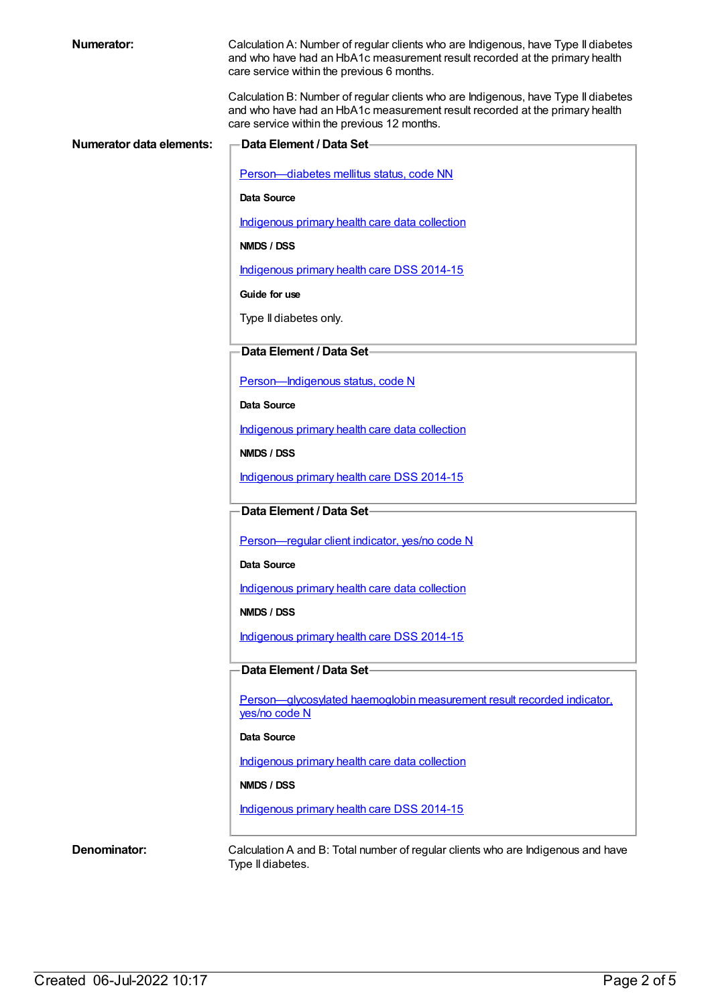| <b>Numerator:</b>        | Calculation A: Number of regular clients who are Indigenous, have Type II diabetes<br>and who have had an HbA1c measurement result recorded at the primary health<br>care service within the previous 6 months.  |
|--------------------------|------------------------------------------------------------------------------------------------------------------------------------------------------------------------------------------------------------------|
|                          | Calculation B: Number of regular clients who are Indigenous, have Type II diabetes<br>and who have had an HbA1c measurement result recorded at the primary health<br>care service within the previous 12 months. |
| Numerator data elements: | <b>Data Element / Data Set-</b>                                                                                                                                                                                  |
|                          | Person-diabetes mellitus status, code NN                                                                                                                                                                         |
|                          | Data Source                                                                                                                                                                                                      |
|                          | Indigenous primary health care data collection                                                                                                                                                                   |
|                          | NMDS / DSS                                                                                                                                                                                                       |
|                          | Indigenous primary health care DSS 2014-15                                                                                                                                                                       |
|                          | Guide for use                                                                                                                                                                                                    |
|                          | Type II diabetes only.                                                                                                                                                                                           |
|                          | Data Element / Data Set-                                                                                                                                                                                         |
|                          | Person-Indigenous status, code N                                                                                                                                                                                 |
|                          | Data Source                                                                                                                                                                                                      |
|                          | Indigenous primary health care data collection                                                                                                                                                                   |
|                          | NMDS / DSS                                                                                                                                                                                                       |
|                          | Indigenous primary health care DSS 2014-15                                                                                                                                                                       |
|                          | Data Element / Data Set-                                                                                                                                                                                         |
|                          | Person-regular client indicator, yes/no code N                                                                                                                                                                   |
|                          | Data Source                                                                                                                                                                                                      |
|                          | Indigenous primary health care data collection                                                                                                                                                                   |
|                          | NMDS / DSS                                                                                                                                                                                                       |
|                          | Indigenous primary health care DSS 2014-15                                                                                                                                                                       |
|                          | Data Element / Data Set-                                                                                                                                                                                         |
|                          | Person-glycosylated haemoglobin measurement result recorded indicator.<br>yes/no code N                                                                                                                          |
|                          | Data Source                                                                                                                                                                                                      |
|                          | Indigenous primary health care data collection                                                                                                                                                                   |
|                          | NMDS / DSS                                                                                                                                                                                                       |
|                          | Indigenous primary health care DSS 2014-15                                                                                                                                                                       |
|                          |                                                                                                                                                                                                                  |
| Denominator:             | Calculation A and B: Total number of regular clients who are Indigenous and have<br>Type II diabetes.                                                                                                            |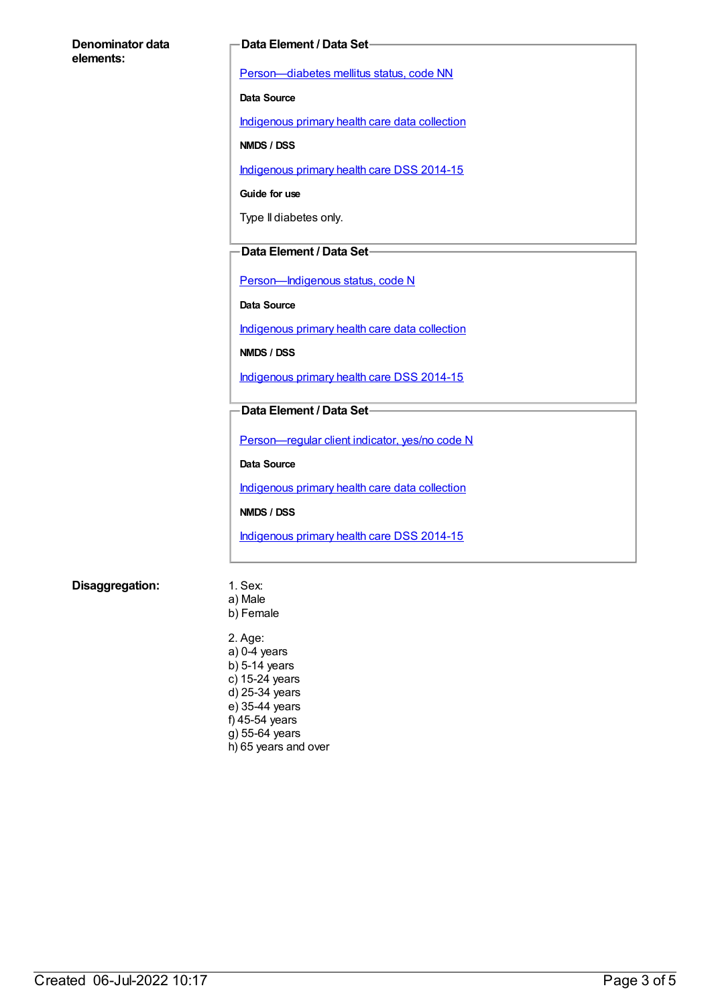#### **Denominator data elements:**

#### **Data Element / Data Set**

[Person—diabetes](https://meteor.aihw.gov.au/content/270194) mellitus status, code NN

**Data Source**

[Indigenous](https://meteor.aihw.gov.au/content/430643) primary health care data collection

**NMDS / DSS**

[Indigenous](https://meteor.aihw.gov.au/content/504325) primary health care DSS 2014-15

**Guide for use**

Type II diabetes only.

#### **Data Element / Data Set**

[Person—Indigenous](https://meteor.aihw.gov.au/content/291036) status, code N

**Data Source**

[Indigenous](https://meteor.aihw.gov.au/content/430643) primary health care data collection

**NMDS / DSS**

[Indigenous](https://meteor.aihw.gov.au/content/504325) primary health care DSS 2014-15

#### **Data Element / Data Set**

[Person—regular](https://meteor.aihw.gov.au/content/436639) client indicator, yes/no code N

**Data Source**

[Indigenous](https://meteor.aihw.gov.au/content/430643) primary health care data collection

**NMDS / DSS**

[Indigenous](https://meteor.aihw.gov.au/content/504325) primary health care DSS 2014-15

#### **Disaggregation:** 1. Sex:

- a) Male b) Female
- 2. Age: a) 0-4 years b) 5-14 years c) 15-24 years d) 25-34 years e) 35-44 years f) 45-54 years g) 55-64 years h) 65 years and over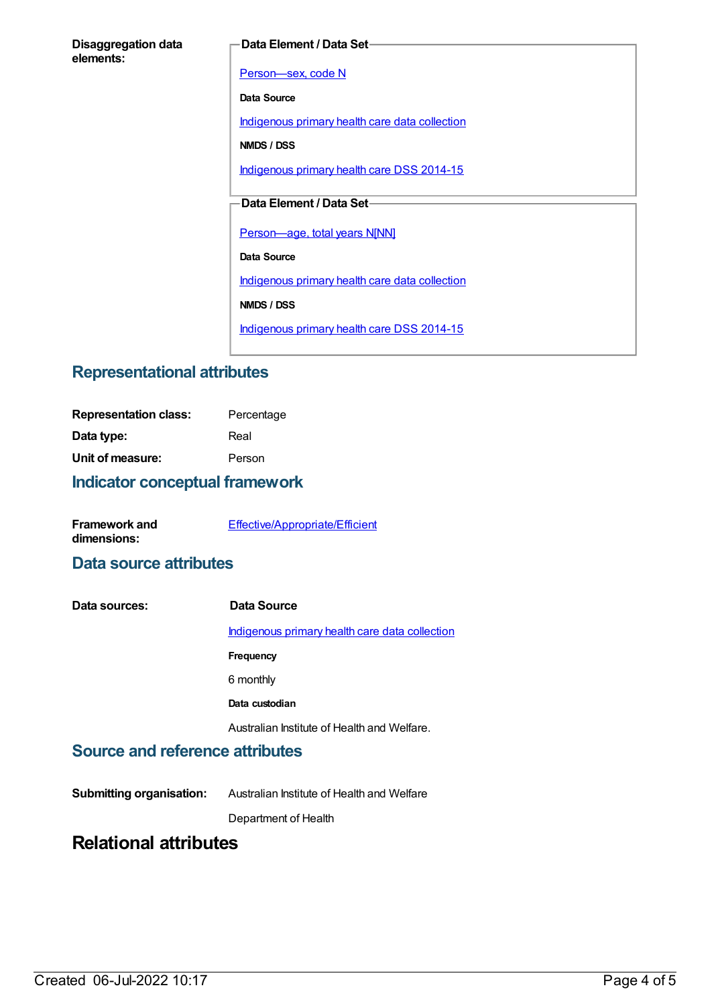| <b>Disaggregation data</b> |  |
|----------------------------|--|
| elements:                  |  |

#### **Data Element / Data Set**

Person-sex, code N

**Data Source**

[Indigenous](https://meteor.aihw.gov.au/content/430643) primary health care data collection

**NMDS / DSS**

[Indigenous](https://meteor.aihw.gov.au/content/504325) primary health care DSS 2014-15

### **Data Element / Data Set**

[Person—age,](https://meteor.aihw.gov.au/content/303794) total years N[NN]

**Data Source**

[Indigenous](https://meteor.aihw.gov.au/content/430643) primary health care data collection

**NMDS / DSS**

[Indigenous](https://meteor.aihw.gov.au/content/504325) primary health care DSS 2014-15

## **Representational attributes**

| <b>Representation class:</b> | Percentage |
|------------------------------|------------|
| Data type:                   | Real       |
| Unit of measure:             | Person     |
|                              |            |

### **Indicator conceptual framework**

| <b>Framework and</b> | Effective/Appropriate/Efficient |
|----------------------|---------------------------------|
| dimensions:          |                                 |

### **Data source attributes**

| Data sources: | Data Source                                    |
|---------------|------------------------------------------------|
|               | Indigenous primary health care data collection |
|               | Frequency                                      |
|               | 6 monthly                                      |
|               | Data custodian                                 |
|               | Australian Institute of Health and Welfare.    |

### **Source and reference attributes**

**Submitting organisation:** Australian Institute of Health and Welfare

Department of Health

# **Relational attributes**